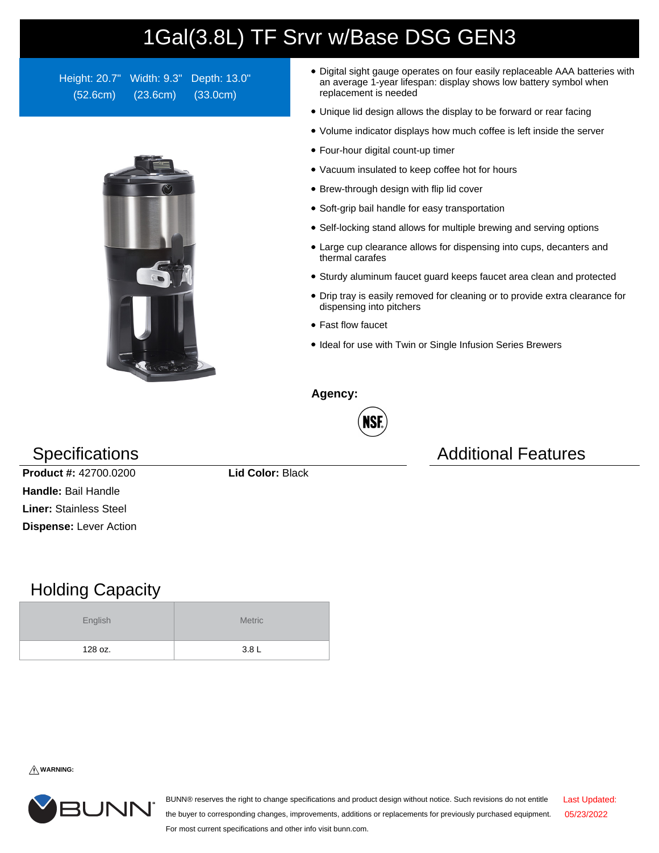## 1Gal(3.8L) TF Srvr w/Base DSG GEN3

Height: 20.7" Width: 9.3" Depth: 13.0" (52.6cm) (23.6cm) (33.0cm)



- Digital sight gauge operates on four easily replaceable AAA batteries with an average 1-year lifespan: display shows low battery symbol when replacement is needed
- Unique lid design allows the display to be forward or rear facing
- Volume indicator displays how much coffee is left inside the server
- Four-hour digital count-up timer
- Vacuum insulated to keep coffee hot for hours
- Brew-through design with flip lid cover
- Soft-grip bail handle for easy transportation
- Self-locking stand allows for multiple brewing and serving options
- Large cup clearance allows for dispensing into cups, decanters and thermal carafes
- Sturdy aluminum faucet guard keeps faucet area clean and protected
- Drip tray is easily removed for cleaning or to provide extra clearance for dispensing into pitchers
- Fast flow faucet
- Ideal for use with Twin or Single Infusion Series Brewers

**Agency:**



Specifications **Additional Features** Additional Features

**Product #:** 42700.0200 **Lid Color:** Black **Handle:** Bail Handle **Liner:** Stainless Steel **Dispense:** Lever Action

## Holding Capacity

| English | <b>Metric</b>    |  |  |
|---------|------------------|--|--|
| 128 oz. | 3.8 <sub>L</sub> |  |  |

**WARNING:**



BUNN® reserves the right to change specifications and product design without notice. Such revisions do not entitle the buyer to corresponding changes, improvements, additions or replacements for previously purchased equipment. For most current specifications and other info visit bunn.com. Last Updated: 05/23/2022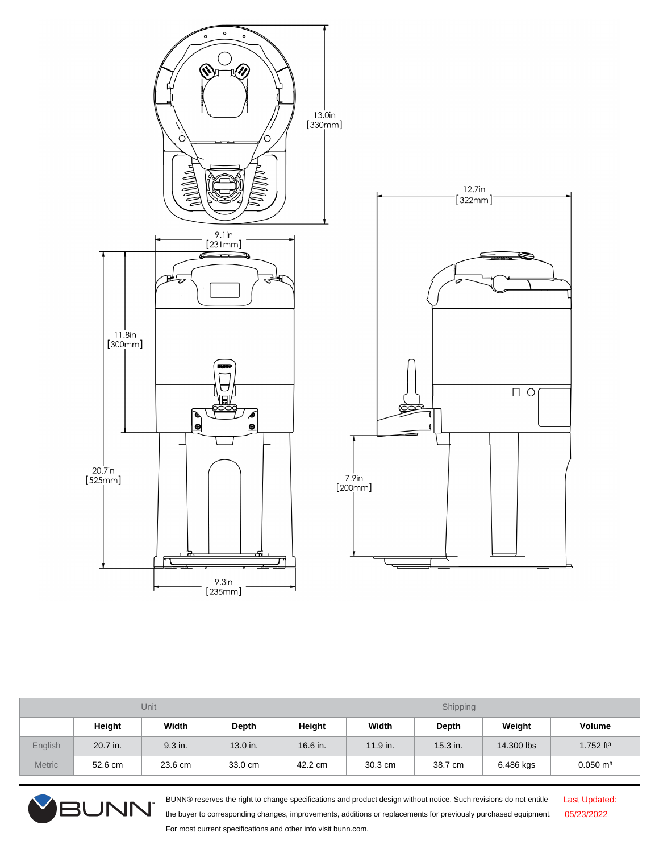

| <b>Unit</b>   |          |         | Shipping |            |            |            |            |                         |
|---------------|----------|---------|----------|------------|------------|------------|------------|-------------------------|
|               | Height   | Width   | Depth    | Height     | Width      | Depth      | Weight     | Volume                  |
| English       | 20.7 in. | 9.3 in. | 13.0 in. | $16.6$ in. | $11.9$ in. | $15.3$ in. | 14,300 lbs | $1.752$ ft <sup>3</sup> |
| <b>Metric</b> | 52.6 cm  | 23.6 cm | 33.0 cm  | 42.2 cm    | 30.3 cm    | 38.7 cm    | 6.486 kgs  | $0.050 \text{ m}^3$     |



BUNN® reserves the right to change specifications and product design without notice. Such revisions do not entitle the buyer to corresponding changes, improvements, additions or replacements for previously purchased equipment. For most current specifications and other info visit bunn.com.

Last Updated: 05/23/2022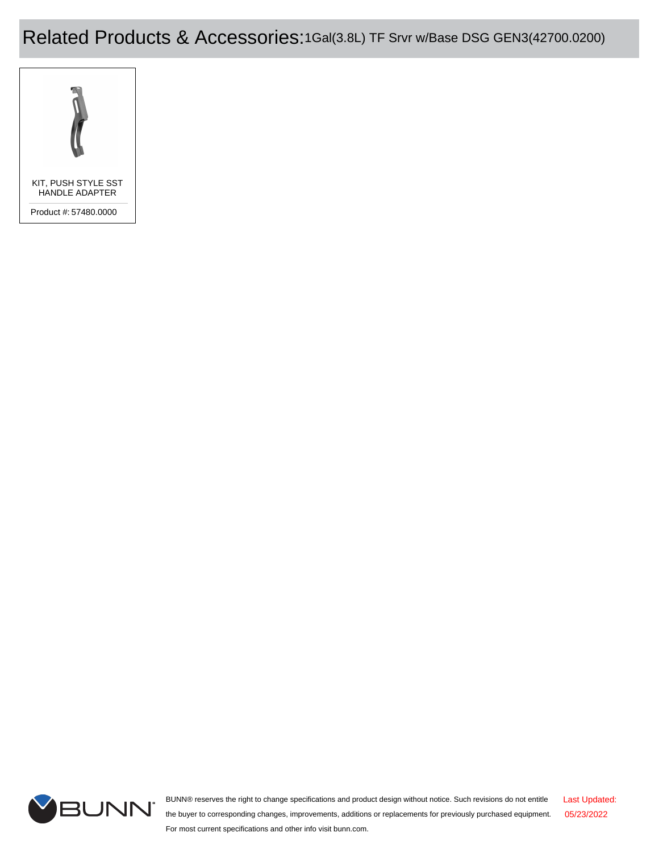Related Products & Accessories:1Gal(3.8L) TF Srvr w/Base DSG GEN3(42700.0200)





BUNN® reserves the right to change specifications and product design without notice. Such revisions do not entitle the buyer to corresponding changes, improvements, additions or replacements for previously purchased equipment. For most current specifications and other info visit bunn.com. Last Updated: 05/23/2022